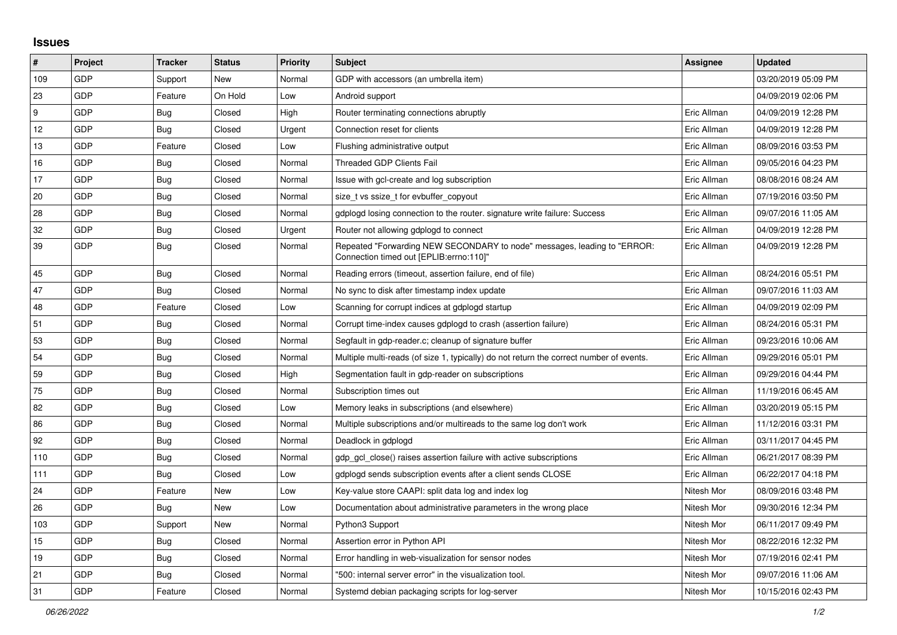## **Issues**

| $\pmb{\sharp}$ | Project    | <b>Tracker</b> | <b>Status</b> | <b>Priority</b> | <b>Subject</b>                                                                                                      | Assignee    | <b>Updated</b>      |
|----------------|------------|----------------|---------------|-----------------|---------------------------------------------------------------------------------------------------------------------|-------------|---------------------|
| 109            | GDP        | Support        | New           | Normal          | GDP with accessors (an umbrella item)                                                                               |             | 03/20/2019 05:09 PM |
| 23             | GDP        | Feature        | On Hold       | Low             | Android support                                                                                                     |             | 04/09/2019 02:06 PM |
| 9              | GDP        | Bug            | Closed        | High            | Router terminating connections abruptly                                                                             | Eric Allman | 04/09/2019 12:28 PM |
| 12             | GDP        | Bug            | Closed        | Urgent          | Connection reset for clients                                                                                        | Eric Allman | 04/09/2019 12:28 PM |
| 13             | <b>GDP</b> | Feature        | Closed        | Low             | Flushing administrative output                                                                                      | Eric Allman | 08/09/2016 03:53 PM |
| 16             | GDP        | Bug            | Closed        | Normal          | <b>Threaded GDP Clients Fail</b>                                                                                    | Eric Allman | 09/05/2016 04:23 PM |
| 17             | <b>GDP</b> | Bug            | Closed        | Normal          | Issue with gcl-create and log subscription                                                                          | Eric Allman | 08/08/2016 08:24 AM |
| 20             | GDP        | <b>Bug</b>     | Closed        | Normal          | size t vs ssize t for evbuffer copyout                                                                              | Eric Allman | 07/19/2016 03:50 PM |
| 28             | GDP        | <b>Bug</b>     | Closed        | Normal          | gdplogd losing connection to the router. signature write failure: Success                                           | Eric Allman | 09/07/2016 11:05 AM |
| 32             | GDP        | <b>Bug</b>     | Closed        | Urgent          | Router not allowing gdplogd to connect                                                                              | Eric Allman | 04/09/2019 12:28 PM |
| 39             | GDP        | <b>Bug</b>     | Closed        | Normal          | Repeated "Forwarding NEW SECONDARY to node" messages, leading to "ERROR:<br>Connection timed out [EPLIB:errno:110]" | Eric Allman | 04/09/2019 12:28 PM |
| 45             | GDP        | Bug            | Closed        | Normal          | Reading errors (timeout, assertion failure, end of file)                                                            | Eric Allman | 08/24/2016 05:51 PM |
| 47             | GDP        | Bug            | Closed        | Normal          | No sync to disk after timestamp index update                                                                        | Eric Allman | 09/07/2016 11:03 AM |
| 48             | GDP        | Feature        | Closed        | Low             | Scanning for corrupt indices at gdplogd startup                                                                     | Eric Allman | 04/09/2019 02:09 PM |
| 51             | <b>GDP</b> | Bug            | Closed        | Normal          | Corrupt time-index causes gdplogd to crash (assertion failure)                                                      | Eric Allman | 08/24/2016 05:31 PM |
| 53             | GDP        | Bug            | Closed        | Normal          | Segfault in gdp-reader.c; cleanup of signature buffer                                                               | Eric Allman | 09/23/2016 10:06 AM |
| 54             | GDP        | Bug            | Closed        | Normal          | Multiple multi-reads (of size 1, typically) do not return the correct number of events.                             | Eric Allman | 09/29/2016 05:01 PM |
| 59             | GDP        | <b>Bug</b>     | Closed        | High            | Segmentation fault in gdp-reader on subscriptions                                                                   | Eric Allman | 09/29/2016 04:44 PM |
| $75\,$         | GDP        | Bug            | Closed        | Normal          | Subscription times out                                                                                              | Eric Allman | 11/19/2016 06:45 AM |
| 82             | GDP        | <b>Bug</b>     | Closed        | Low             | Memory leaks in subscriptions (and elsewhere)                                                                       | Eric Allman | 03/20/2019 05:15 PM |
| 86             | GDP        | <b>Bug</b>     | Closed        | Normal          | Multiple subscriptions and/or multireads to the same log don't work                                                 | Eric Allman | 11/12/2016 03:31 PM |
| 92             | <b>GDP</b> | Bug            | Closed        | Normal          | Deadlock in gdplogd                                                                                                 | Eric Allman | 03/11/2017 04:45 PM |
| 110            | GDP        | Bug            | Closed        | Normal          | gdp gcl close() raises assertion failure with active subscriptions                                                  | Eric Allman | 06/21/2017 08:39 PM |
| 111            | <b>GDP</b> | <b>Bug</b>     | Closed        | Low             | gdplogd sends subscription events after a client sends CLOSE                                                        | Eric Allman | 06/22/2017 04:18 PM |
| 24             | GDP        | Feature        | New           | Low             | Key-value store CAAPI: split data log and index log                                                                 | Nitesh Mor  | 08/09/2016 03:48 PM |
| 26             | <b>GDP</b> | Bug            | New           | Low             | Documentation about administrative parameters in the wrong place                                                    | Nitesh Mor  | 09/30/2016 12:34 PM |
| 103            | GDP        | Support        | New           | Normal          | Python3 Support                                                                                                     | Nitesh Mor  | 06/11/2017 09:49 PM |
| 15             | GDP        | Bug            | Closed        | Normal          | Assertion error in Python API                                                                                       | Nitesh Mor  | 08/22/2016 12:32 PM |
| 19             | <b>GDP</b> | Bug            | Closed        | Normal          | Error handling in web-visualization for sensor nodes                                                                | Nitesh Mor  | 07/19/2016 02:41 PM |
| 21             | GDP        | Bug            | Closed        | Normal          | "500: internal server error" in the visualization tool.                                                             | Nitesh Mor  | 09/07/2016 11:06 AM |
| 31             | GDP        | Feature        | Closed        | Normal          | Systemd debian packaging scripts for log-server                                                                     | Nitesh Mor  | 10/15/2016 02:43 PM |